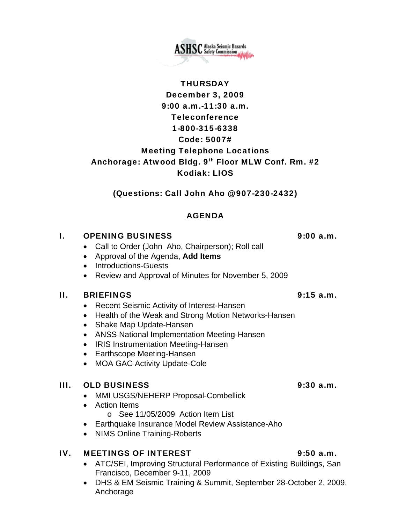**ASHSC** Alaska Seismic Hazards

# **THURSDAY**

# December 3, 2009 9:00 a.m.-11:30 a.m. Teleconference 1-800-315-6338 Code: 5007# Meeting Telephone Locations Anchorage: Atwood Bldg. 9th Floor MLW Conf. Rm. #2 Kodiak: LIOS

(Questions: Call John Aho @ 907-230-2432)

# AGENDA

# I. OPENING BUSINESS 9:00 a.m.

- Call to Order (John Aho, Chairperson); Roll call
- Approval of the Agenda, **Add Items**
- Introductions-Guests
- Review and Approval of Minutes for November 5, 2009

### II. BRIEFINGS 9:15 a.m.

- Recent Seismic Activity of Interest-Hansen
- Health of the Weak and Strong Motion Networks-Hansen
- Shake Map Update-Hansen
- ANSS National Implementation Meeting-Hansen
- IRIS Instrumentation Meeting-Hansen
- Earthscope Meeting-Hansen
- MOA GAC Activity Update-Cole

# III. OLD BUSINESS 9:30 a.m.

- MMI USGS/NEHERP Proposal-Combellick
- Action Items
	- o See 11/05/2009 Action Item List
- Earthquake Insurance Model Review Assistance-Aho
- NIMS Online Training-Roberts

# IV. MEETINGS OF INTEREST 9:50 a.m.

- ATC/SEI, Improving Structural Performance of Existing Buildings, San Francisco, December 9-11, 2009
- DHS & EM Seismic Training & Summit, September 28-October 2, 2009, Anchorage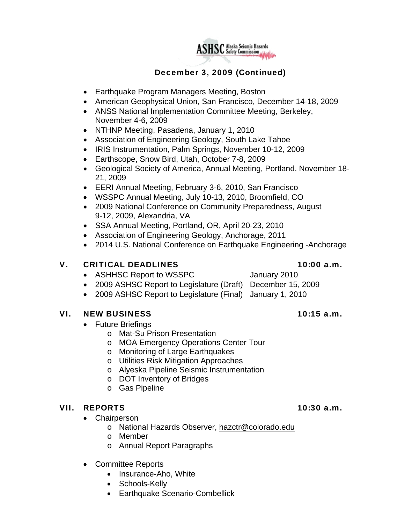

# December 3, 2009 (Continued)

- Earthquake Program Managers Meeting, Boston
- American Geophysical Union, San Francisco, December 14-18, 2009
- ANSS National Implementation Committee Meeting, Berkeley, November 4-6, 2009
- NTHNP Meeting, Pasadena, January 1, 2010
- Association of Engineering Geology, South Lake Tahoe
- IRIS Instrumentation, Palm Springs, November 10-12, 2009
- Earthscope, Snow Bird, Utah, October 7-8, 2009
- Geological Society of America, Annual Meeting, Portland, November 18- 21, 2009
- EERI Annual Meeting, February 3-6, 2010, San Francisco
- WSSPC Annual Meeting, July 10-13, 2010, Broomfield, CO
- 2009 National Conference on Community Preparedness, August 9-12, 2009, Alexandria, VA
- SSA Annual Meeting, Portland, OR, April 20-23, 2010
- Association of Engineering Geology, Anchorage, 2011
- 2014 U.S. National Conference on Earthquake Engineering -Anchorage

### V. CRITICAL DEADLINES 10:00 a.m.

- ASHHSC Report to WSSPC January 2010
- 
- 2009 ASHSC Report to Legislature (Draft) December 15, 2009
- 2009 ASHSC Report to Legislature (Final) January 1, 2010

#### VI. NEW BUSINESS 10:15 a.m.

- Future Briefings
	- o Mat-Su Prison Presentation
	- o MOA Emergency Operations Center Tour
	- o Monitoring of Large Earthquakes
	- o Utilities Risk Mitigation Approaches
	- o Alyeska Pipeline Seismic Instrumentation
	- o DOT Inventory of Bridges
	- o Gas Pipeline

### VII. REPORTS 10:30 a.m.

- Chairperson
	- o National Hazards Observer, [hazctr@colorado.edu](mailto:hazctr@colorado.edu)
	- o Member
	- o Annual Report Paragraphs
- Committee Reports
	- Insurance-Aho, White
	- Schools-Kelly
	- Earthquake Scenario-Combellick

- 
- 
-